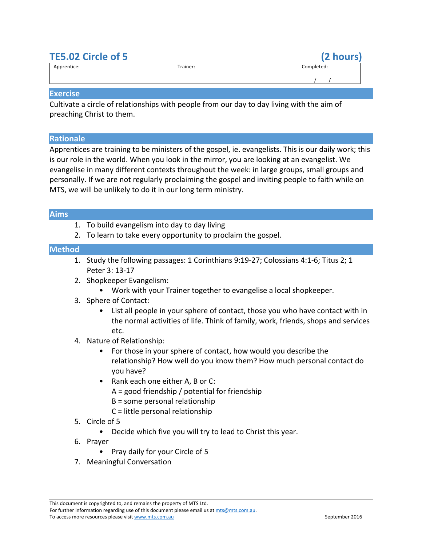# **TE5.02 Circle of 5 (2 hours)**

| Apprentice: | Trainer: | Completed: |
|-------------|----------|------------|
|             |          |            |

#### **Exercise**

Cultivate a circle of relationships with people from our day to day living with the aim of preaching Christ to them.

#### **Rationale**

Apprentices are training to be ministers of the gospel, ie. evangelists. This is our daily work; this is our role in the world. When you look in the mirror, you are looking at an evangelist. We evangelise in many different contexts throughout the week: in large groups, small groups and personally. If we are not regularly proclaiming the gospel and inviting people to faith while on MTS, we will be unlikely to do it in our long term ministry.

### **Aims**

- 1. To build evangelism into day to day living
- 2. To learn to take every opportunity to proclaim the gospel.

### **Method**

- 1. Study the following passages: 1 Corinthians 9:19-27; Colossians 4:1-6; Titus 2; 1 Peter 3: 13-17
- 2. Shopkeeper Evangelism:
	- Work with your Trainer together to evangelise a local shopkeeper.
- 3. Sphere of Contact:
	- List all people in your sphere of contact, those you who have contact with in the normal activities of life. Think of family, work, friends, shops and services etc.
- 4. Nature of Relationship:
	- For those in your sphere of contact, how would you describe the relationship? How well do you know them? How much personal contact do you have?
	- Rank each one either A, B or C:
		- $A =$  good friendship / potential for friendship
		- $B =$  some personal relationship
		- $C =$  little personal relationship
- 5. Circle of 5
	- Decide which five you will try to lead to Christ this year.
- 6. Prayer
	- Pray daily for your Circle of 5
- 7. Meaningful Conversation

For further information regarding use of this document please email us at mts@mts.com.au. To access more resources please visit www.mts.com.au September 2016